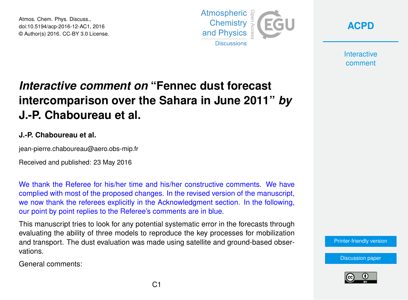Atmos. Chem. Phys. Discuss., doi:10.5194/acp-2016-12-AC1, 2016 © Author(s) 2016. CC-BY 3.0 License.



**[ACPD](http://www.atmos-chem-phys-discuss.net/)**

**Interactive** comment

## *Interactive comment on* **"Fennec dust forecast intercomparison over the Sahara in June 2011"** *by* **J.-P. Chaboureau et al.**

## **J.-P. Chaboureau et al.**

jean-pierre.chaboureau@aero.obs-mip.fr

Received and published: 23 May 2016

We thank the Referee for his/her time and his/her constructive comments. We have complied with most of the proposed changes. In the revised version of the manuscript, we now thank the referees explicitly in the Acknowledgment section. In the following, our point by point replies to the Referee's comments are in blue.

This manuscript tries to look for any potential systematic error in the forecasts through evaluating the ability of three models to reproduce the key processes for mobilization and transport. The dust evaluation was made using satellite and ground-based observations.

General comments:

[Printer-friendly version](http://www.atmos-chem-phys-discuss.net/acp-2016-12/acp-2016-12-AC1-print.pdf)

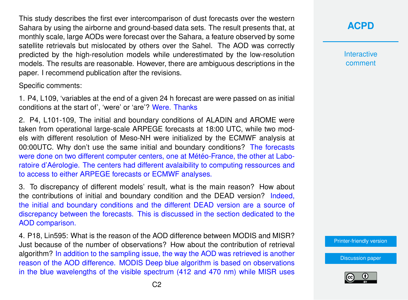This study describes the first ever intercomparison of dust forecasts over the western Sahara by using the airborne and ground-based data sets. The result presents that, at monthly scale, large AODs were forecast over the Sahara, a feature observed by some satellite retrievals but mislocated by others over the Sahel. The AOD was correctly predicted by the high-resolution models while underestimated by the low-resolution models. The results are reasonable. However, there are ambiguous descriptions in the paper. I recommend publication after the revisions.

Specific comments:

1. P4, L109, 'variables at the end of a given 24 h forecast are were passed on as initial conditions at the start of', 'were' or 'are'? Were. Thanks

2. P4, L101-109, The initial and boundary conditions of ALADIN and AROME were taken from operational large-scale ARPEGE forecasts at 18:00 UTC, while two models with different resolution of Meso-NH were initialized by the ECMWF analysis at 00:00UTC. Why don't use the same initial and boundary conditions? The forecasts were done on two different computer centers, one at Météo-France, the other at Laboratoire d'Aérologie. The centers had different avalaibility to computing ressources and to access to either ARPEGE forecasts or ECMWF analyses.

3. To discrepancy of different models' result, what is the main reason? How about the contributions of initial and boundary condition and the DEAD version? Indeed, the initial and boundary conditions and the different DEAD version are a source of discrepancy between the forecasts. This is discussed in the section dedicated to the AOD comparison.

4. P18, Lin595: What is the reason of the AOD difference between MODIS and MISR? Just because of the number of observations? How about the contribution of retrieval algorithm? In addition to the sampling issue, the way the AOD was retrieved is another reason of the AOD difference. MODIS Deep blue algorithm is based on observations in the blue wavelengths of the visible spectrum (412 and 470 nm) while MISR uses **[ACPD](http://www.atmos-chem-phys-discuss.net/)**

**Interactive** comment

[Printer-friendly version](http://www.atmos-chem-phys-discuss.net/acp-2016-12/acp-2016-12-AC1-print.pdf)

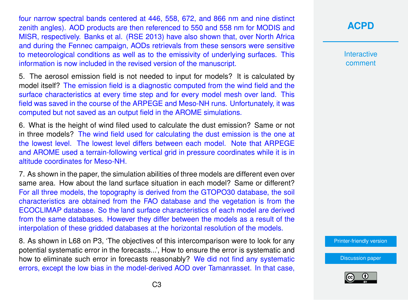four narrow spectral bands centered at 446, 558, 672, and 866 nm and nine distinct zenith angles). AOD products are then referenced to 550 and 558 nm for MODIS and MISR, respectively. Banks et al. (RSE 2013) have also shown that, over North Africa and during the Fennec campaign, AODs retrievals from these sensors were sensitive to meteorological conditions as well as to the emissivity of underlying surfaces. This information is now included in the revised version of the manuscript.

5. The aerosol emission field is not needed to input for models? It is calculated by model itself? The emission field is a diagnostic computed from the wind field and the surface characteristics at every time step and for every model mesh over land. This field was saved in the course of the ARPEGE and Meso-NH runs. Unfortunately, it was computed but not saved as an output field in the AROME simulations.

6. What is the height of wind filed used to calculate the dust emission? Same or not in three models? The wind field used for calculating the dust emission is the one at the lowest level. The lowest level differs between each model. Note that ARPEGE and AROME used a terrain-following vertical grid in pressure coordinates while it is in altitude coordinates for Meso-NH.

7. As shown in the paper, the simulation abilities of three models are different even over same area. How about the land surface situation in each model? Same or different? For all three models, the topography is derived from the GTOPO30 database, the soil characteristics are obtained from the FAO database and the vegetation is from the ECOCLIMAP database. So the land surface characteristics of each model are derived from the same databases. However they differ between the models as a result of the interpolation of these gridded databases at the horizontal resolution of the models.

8. As shown in L68 on P3, 'The objectives of this intercomparison were to look for any potential systematic error in the forecasts...', How to ensure the error is systematic and how to eliminate such error in forecasts reasonably? We did not find any systematic errors, except the low bias in the model-derived AOD over Tamanrasset. In that case, **[ACPD](http://www.atmos-chem-phys-discuss.net/)**

**Interactive** comment

[Printer-friendly version](http://www.atmos-chem-phys-discuss.net/acp-2016-12/acp-2016-12-AC1-print.pdf)

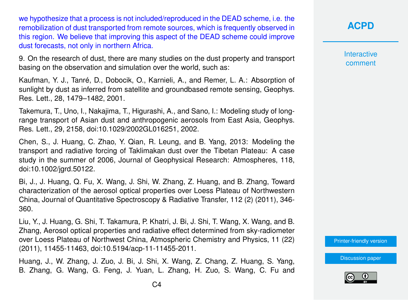we hypothesize that a process is not included/reproduced in the DEAD scheme, i.e. the remobilization of dust transported from remote sources, which is frequently observed in this region. We believe that improving this aspect of the DEAD scheme could improve dust forecasts, not only in northern Africa.

9. On the research of dust, there are many studies on the dust property and transport basing on the observation and simulation over the world, such as:

Kaufman, Y. J., Tanré, D., Dobocik, O., Karnieli, A., and Remer, L. A.: Absorption of sunlight by dust as inferred from satellite and groundbased remote sensing, Geophys. Res. Lett., 28, 1479–1482, 2001.

Takemura, T., Uno, I., Nakajima, T., Higurashi, A., and Sano, I.: Modeling study of longrange transport of Asian dust and anthropogenic aerosols from East Asia, Geophys. Res. Lett., 29, 2158, doi:10.1029/2002GL016251, 2002.

Chen, S., J. Huang, C. Zhao, Y. Qian, R. Leung, and B. Yang, 2013: Modeling the transport and radiative forcing of Taklimakan dust over the Tibetan Plateau: A case study in the summer of 2006, Journal of Geophysical Research: Atmospheres, 118, doi:10.1002/jgrd.50122.

Bi, J., J. Huang, Q. Fu, X. Wang, J. Shi, W. Zhang, Z. Huang, and B. Zhang, Toward characterization of the aerosol optical properties over Loess Plateau of Northwestern China, Journal of Quantitative Spectroscopy & Radiative Transfer, 112 (2) (2011), 346- 360.

Liu, Y., J. Huang, G. Shi, T. Takamura, P. Khatri, J. Bi, J. Shi, T. Wang, X. Wang, and B. Zhang, Aerosol optical properties and radiative effect determined from sky-radiometer over Loess Plateau of Northwest China, Atmospheric Chemistry and Physics, 11 (22) (2011), 11455-11463, doi:10.5194/acp-11-11455-2011.

Huang, J., W. Zhang, J. Zuo, J. Bi, J. Shi, X. Wang, Z. Chang, Z. Huang, S. Yang, B. Zhang, G. Wang, G. Feng, J. Yuan, L. Zhang, H. Zuo, S. Wang, C. Fu and **Interactive** comment

[Printer-friendly version](http://www.atmos-chem-phys-discuss.net/acp-2016-12/acp-2016-12-AC1-print.pdf)